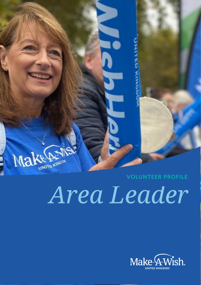

# *Area Leader*

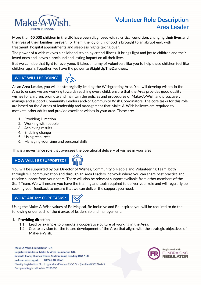

# **Volunteer Role Description** Area Leader

**More than 60,000 children in the UK have been diagnosed with a critical condition, changing their lives and the lives of their families forever.** For them, the joy of childhood is brought to an abrupt end, with treatment, hospital appointments and sleepless nights taking over.

The power of a wish revives a childhood stolen by critical illness. It brings light and joy to children and their loved ones and leaves a profound and lasting impact on all their lives.

But we can't be that light for everyone. It takes an army of volunteers like you to help these children feel like children again. Together, we have the power to **#LightUpTheDarkness.**

### **WHAT WILL I BE DOING?**



As an **Area Leader**, you will be strategically leading the Wishgranting Area. You will develop wishes in the Area to ensure we are working towards reaching every child, ensure that the Area provides good quality wishes for children, promote and maintain the policies and procedures of Make-A-Wish and proactively manage and support Community Leaders and/or Community Wish Coordinators. The core tasks for this role are based on the 6 areas of leadership and management that Make-A-Wish believes are required to motivate other adults and provide excellent wishes in your area. These are:

- 1. Providing Direction
- 2. Working with people
- 3. Achieving results
- 4. Enabling change
- 5. Using resources
- 6. Managing your time and personal skills

This is a governance role that oversees the operational delivery of wishes in your area.

# **HOW WILL I BE SUPPORTED?**



You will be supported by our Director of Wishes, Community & People and Volunteering Team, both through 1-1 communication and through an Area Leaders' network where you can share best practice and receive support from your peers. There will also be relevant support available from other members of the Staff Team. We will ensure you have the training and tools required to deliver your role and will regularly be seeking your feedback to ensure that we can deliver the support you need.

### **WHAT ARE MY CORE TASKS?**



Using the Make-A-Wish values of Be Magical, Be Inclusive and Be Inspired you will be required to do the following under each of the 6 areas of leadership and management:

### **1. Providing direction**

- 1.1. Lead by example to promote a cooperative culture of working in the Area.
- 1.2. Create a vision for the future development of the Area that aligns with the strategic objectives of Make-a-Wish.

Make-A-Wish Foundation® UK Registered Address: Make-A-Wish Foundation UK, Seventh Floor, Thames Tower, Station Road, Reading RG1 1LX make-a-wish.org.uk 01276 40 50 60 Charity Registration No. (England and Wales) 295672 / (Scotland) SC037479 Company Registration No. 2031836

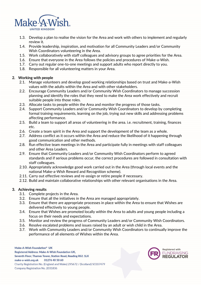

- 1.3. Develop a plan to realise the vision for the Area and work with others to implement and regularly review it.
- 1.4. Provide leadership, inspiration, and motivation for all Community Leaders and/or Community Wish Coordinators volunteering in the Area.
- 1.5. Work collaboratively with staff colleagues and advisory groups to agree priorities for the Area.
- 1.6. Ensure that everyone in the Area follows the policies and procedures of Make-a-Wish.
- 1.7. Carry out regular one-to-one meetings and support adults who report directly to you.
- 1.8. Responsible for all volunteering matters in your Area.

### **2. Working with people**

- 2.1. Manage volunteers and develop good working relationships based on trust and Make-a-Wish values with the adults within the Area and with other stakeholders.
- 2.2. Encourage Community Leaders and/or Community Wish Coordinators to manage succession planning and identify the roles that they need to make the Area work effectively and recruit suitable people into those roles.
- 2.3. Allocate tasks to people within the Area and monitor the progress of those tasks.
- 2.4. Support Community Leaders and/or Community Wish Coordinators to develop by completing formal training requirements, learning on the job, trying out new skills and addressing problems affecting performance.
- 2.5. Build a team to support all areas of volunteering in the area. i.e. recruitment, training, finances etc.
- 2.6. Create a team spirit in the Area and support the development of the team as a whole.
- 2.7. Address conflict as it occurs within the Area and reduce the likelihood of it happening through good communication and other methods.
- 2.8. Run effective team meetings in the Area and participate fully in meetings with staff colleagues and other Area Leaders.
- 2.9. Ensure that Community Leaders and/or Community Wish Coordinators perform to agreed standards and if serious problems occur, the correct procedures are followed in consultation with staff colleagues.
- 2.10. Appropriately acknowledge good work carried out in the Area (through local events and the national Make-a-Wish Reward and Recognition scheme).
- 2.11. Carry out effective reviews and re-assign or retire people if necessary.
- 2.12. Build and maintain collaborative relationships with other relevant organisations in the Area.

### **3. Achieving results**

- 3.1. Complete projects in the Area.
- 3.2. Ensure that all the initiatives in the Area are managed appropriately.
- 3.3. Ensure that there are appropriate processes in place within the Area to ensure that Wishes are delivered effectively to young people.
- 3.4. Ensure that Wishes are promoted locally within the Area to adults and young people including a focus on their needs and expectations.
- 3.5. Monitor and review the progress of Community Leaders and/or Community Wish Coordinators.
- 3.6. Resolve escalated problems and issues raised by an adult or wish child in the Area.
- 3.7. Work with Community Leaders and/or Community Wish Coordinators to continually improve the performance of all elements of Wishes within the Area.

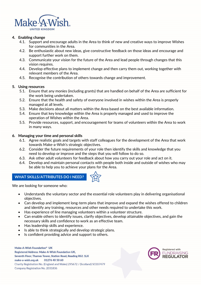

### **4. Enabling change**

- 4.1. Support and encourage adults in the Area to think of new and creative ways to improve Wishes for communities in the Area.
- 4.2. Be enthusiastic about new ideas, give constructive feedback on those ideas and encourage and support further work on them.
- 4.3. Communicate your vision for the future of the Area and lead people through changes that this vision requires.
- 4.4. Develop effective plans to implement change and then carry them out, working together with relevant members of the Area.
- 4.5. Recognise the contribution of others towards change and improvement.

### **5. Using resources**

- 5.1. Ensure that any monies (including grants) that are handled on behalf of the Area are sufficient for the work being undertaken.
- 5.2. Ensure that the health and safety of everyone involved in wishes within the Area is properly managed at all levels.
- 5.3. Make decisions about all matters within the Area based on the best available information.
- 5.4. Ensure that key knowledge within the Area is properly managed and used to improve the operation of Wishes within the Area.
- 5.5. Provide resources, support, and encouragement for teams of volunteers within the Area to work in many ways.

### **6. Managing your time and personal skills**

- 6.1. Agree realistic goals and targets with staff colleagues for the development of the Area that work towards Make-a-Wish's strategic objectives.
- 6.2. Consider the future requirements of your role then identify the skills and knowledge that you need to develop or improve and the steps that you will follow to do so.
- 6.3. Ask other adult volunteers for feedback about how you carry out your role and act on it.
- 6.4. Develop and maintain personal contacts with people both inside and outside of wishes who may be able to help you to achieve your plans for the Area.

# **WHAT SKILLS/ATTRIBUTES DO I NEED?**

We are looking for someone who:

- Understands the voluntary sector and the essential role volunteers play in delivering organisational objectives.
- Can develop and implement long-term plans that improve and expand the wishes offered to children and identify any training, resources and other needs required to undertake this work.
- Has experience of line managing volunteers within a volunteer structure.
- Can enable others to identify issues, clarify objectives, develop attainable objectives, and gain the necessary skills and confidence to work as an effective team.
- Has leadership skills and experience.
- Is able to think strategically and develop strategic plans.
- Is confident providing advice and support to others.

Make-A-Wish Foundation® UK **Registered Address: Make-A-Wish Foundation UK.** Seventh Floor, Thames Tower, Station Road, Reading RG1 1LX make-a-wish.org.uk 01276 40 50 60 Charity Registration No. (England and Wales) 295672 / (Scotland) SC037479 Company Registration No. 2031836



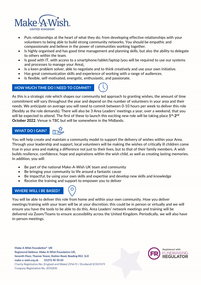

- Puts relationships at the heart of what they do; from developing effective relationships with your volunteers to being able to build strong community networks. You should be empathic and compassionate and believe in the power of communities working together.
- Is highly organised and has good time management and planning skills, but also the ability to delegate to others within the team.
- Is good with IT, with access to a smartphone/tablet/laptop (you will be required to use our systems and processes to manage your Area).
- Is a keen problem solver, able to negotiate and to think creatively and use your own initiative.
- Has great communication skills and experience of working with a range of audiences.
- Is flexible, self-motivated, energetic, enthusiastic, and passionate.

### **HOW MUCH TIME DO I NEED TO COMMIT?**



As this is a strategic role which shapes our community led approach to granting wishes, the amount of time commitment will vary throughout the year and depend on the number of volunteers in your area and their needs. We anticipate on average you will need to commit between 0-10 hours per week to deliver this role (flexibly as the role demands). There will also be 3 Area Leaders' meetings a year, over a weekend, that you will be expected to attend. The first of these to launch this exciting new role will be taking place  $1^{st}$ - $2^{nd}$ **October 2022**. Venue is TBC but will be somewhere in the Midlands.

# **WHAT DO I GAIN?**



You will help create and maintain a community model to support the delivery of wishes within your Area. Through your leadership and support, local volunteers will be making the wishes of critically ill children come true in your area and making a difference not just to their lives, but to that of their family members. A wish builds resilience, confidence, hope and aspirations within the wish child, as well as creating lasting memories. In addition, you will:

- Be part of the national Make-A-Wish UK team and community
- Be bringing your community to life around a fantastic cause
- Be impactful, by using your own skills and expertise and develop new skills and knowledge
- Receive the training and support to empower you to deliver

### **WHERE WILL I BE BASED?**

You will be able to deliver this role from home and within your own community. How you deliver meetings/training with your team will be at your discretion; this could be in person or virtually and we will ensure you have the tools to be able to do this. Area Leaders' network meetings and training will be delivered via Zoom/Teams to ensure accessibility across the United Kingdom. Periodically, we will also have in-person meetings.

Make-A-Wish Foundation® UK Registered Address: Make-A-Wish Foundation UK, Seventh Floor, Thames Tower, Station Road, Reading RG1 1LX make-a-wish.org.uk 01276 40 50 60 Charity Registration No. (England and Wales) 295672 / (Scotland) SC037479 Company Registration No. 2031836